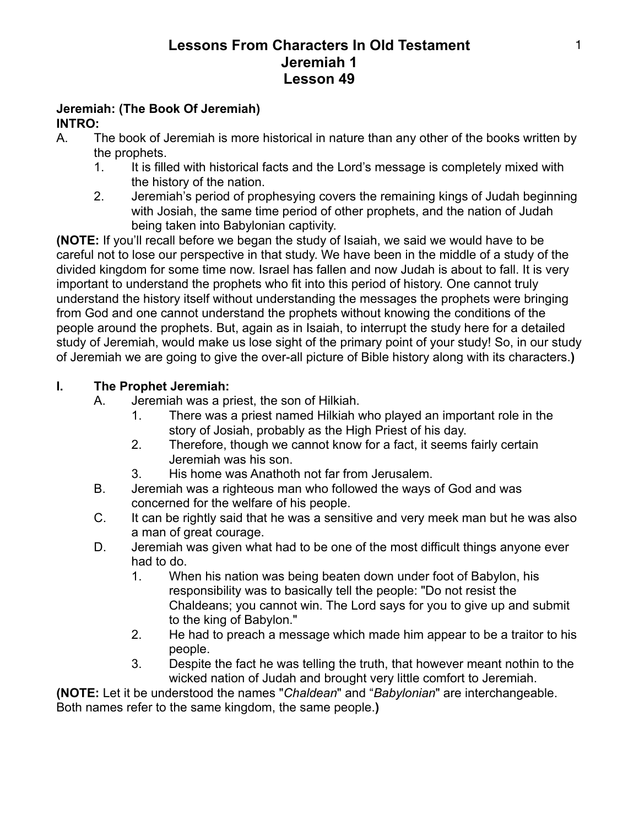#### **Jeremiah: (The Book Of Jeremiah) INTRO:**

- A. The book of Jeremiah is more historical in nature than any other of the books written by the prophets.
	- 1. It is filled with historical facts and the Lord's message is completely mixed with the history of the nation.
	- 2. Jeremiah's period of prophesying covers the remaining kings of Judah beginning with Josiah, the same time period of other prophets, and the nation of Judah being taken into Babylonian captivity.

**(NOTE:** If you'll recall before we began the study of Isaiah, we said we would have to be careful not to lose our perspective in that study. We have been in the middle of a study of the divided kingdom for some time now. Israel has fallen and now Judah is about to fall. It is very important to understand the prophets who fit into this period of history. One cannot truly understand the history itself without understanding the messages the prophets were bringing from God and one cannot understand the prophets without knowing the conditions of the people around the prophets. But, again as in Isaiah, to interrupt the study here for a detailed study of Jeremiah, would make us lose sight of the primary point of your study! So, in our study of Jeremiah we are going to give the over-all picture of Bible history along with its characters.**)**

## **I. The Prophet Jeremiah:**

- A. Jeremiah was a priest, the son of Hilkiah.
	- 1. There was a priest named Hilkiah who played an important role in the story of Josiah, probably as the High Priest of his day.
	- 2. Therefore, though we cannot know for a fact, it seems fairly certain Jeremiah was his son.
	- 3. His home was Anathoth not far from Jerusalem.
- B. Jeremiah was a righteous man who followed the ways of God and was concerned for the welfare of his people.
- C. It can be rightly said that he was a sensitive and very meek man but he was also a man of great courage.
- D. Jeremiah was given what had to be one of the most difficult things anyone ever had to do.
	- 1. When his nation was being beaten down under foot of Babylon, his responsibility was to basically tell the people: "Do not resist the Chaldeans; you cannot win. The Lord says for you to give up and submit to the king of Babylon."
	- 2. He had to preach a message which made him appear to be a traitor to his people.
	- 3. Despite the fact he was telling the truth, that however meant nothin to the wicked nation of Judah and brought very little comfort to Jeremiah.

**(NOTE:** Let it be understood the names "*Chaldean*" and "*Babylonian*" are interchangeable. Both names refer to the same kingdom, the same people.**)**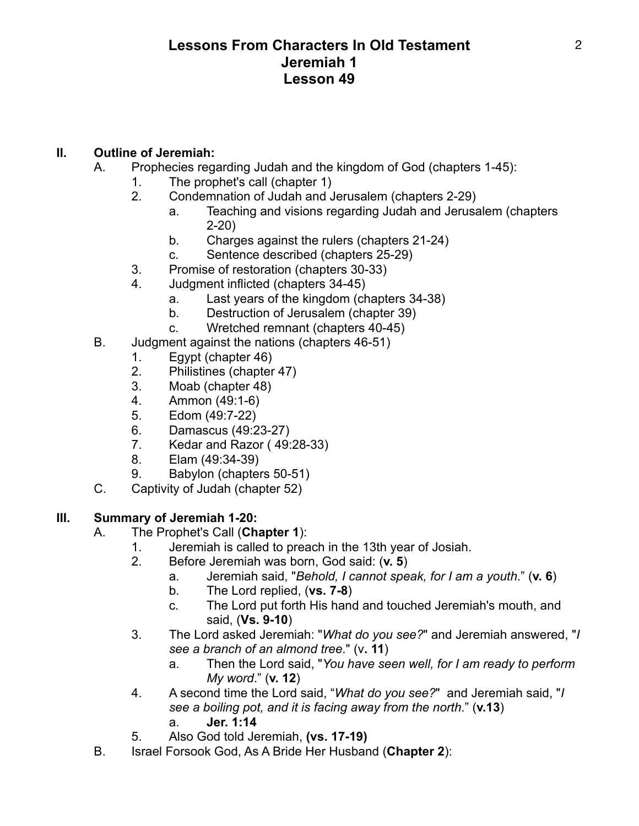#### **II. Outline of Jeremiah:**

- A. Prophecies regarding Judah and the kingdom of God (chapters 1-45):
	- 1. The prophet's call (chapter 1)
	- 2. Condemnation of Judah and Jerusalem (chapters 2-29)
		- a. Teaching and visions regarding Judah and Jerusalem (chapters 2-20)
		- b. Charges against the rulers (chapters 21-24)
		- c. Sentence described (chapters 25-29)
	- 3. Promise of restoration (chapters 30-33)
	- 4. Judgment inflicted (chapters 34-45)
		- a. Last years of the kingdom (chapters 34-38)
		- b. Destruction of Jerusalem (chapter 39)
		- c. Wretched remnant (chapters 40-45)
- B. Judgment against the nations (chapters 46-51)
	- 1. Egypt (chapter 46)
	- 2. Philistines (chapter 47)
	- 3. Moab (chapter 48)
	- 4. Ammon (49:1-6)
	- 5. Edom (49:7-22)
	- 6. Damascus (49:23-27)
	- 7. Kedar and Razor ( 49:28-33)
	- 8. Elam (49:34-39)
	- 9. Babylon (chapters 50-51)
- C. Captivity of Judah (chapter 52)

## **III. Summary of Jeremiah 1-20:**

- A. The Prophet's Call (**Chapter 1**):
	- 1. Jeremiah is called to preach in the 13th year of Josiah.
	- 2. Before Jeremiah was born, God said: (**v. 5**)
		- a. Jeremiah said, "*Behold, I cannot speak, for I am a youth*." (**v. 6**)
		- b. The Lord replied, (**vs. 7-8**)
		- c. The Lord put forth His hand and touched Jeremiah's mouth, and said, (**Vs. 9-10**)
	- 3. The Lord asked Jeremiah: "*What do you see?*" and Jeremiah answered, "*I see a branch of an almond tree*." (v**. 11**)
		- a. Then the Lord said, "*You have seen well, for I am ready to perform My word*." (**v. 12**)
	- 4. A second time the Lord said, "*What do you see?*" and Jeremiah said, "*I see a boiling pot, and it is facing away from the north*." (**v.13**) a. **Jer. 1:14**
	- 5. Also God told Jeremiah, **(vs. 17-19)**
- B. Israel Forsook God, As A Bride Her Husband (**Chapter 2**):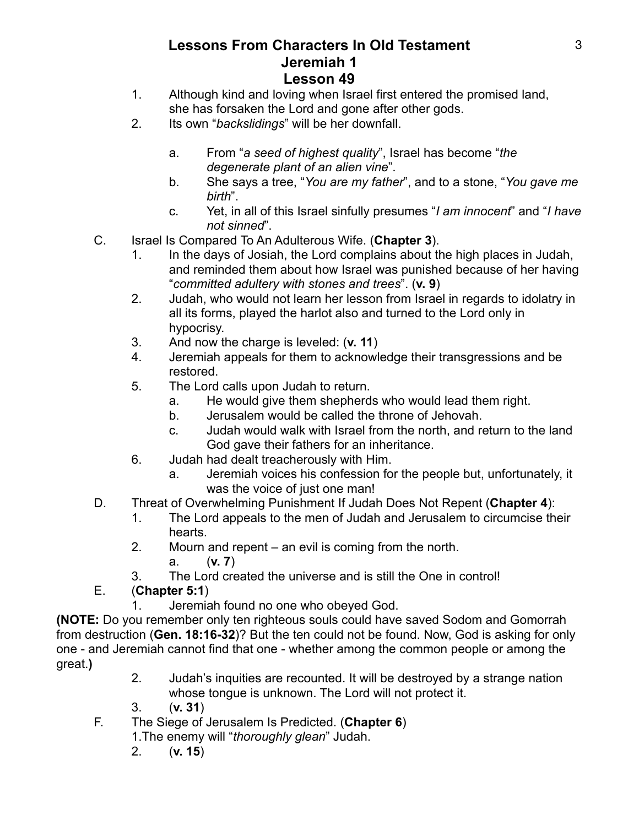- 1. Although kind and loving when Israel first entered the promised land, she has forsaken the Lord and gone after other gods.
- 2. Its own "*backslidings*" will be her downfall.
	- a. From "*a seed of highest quality*", Israel has become "*the degenerate plant of an alien vine*".
	- b. She says a tree, "*You are my father*", and to a stone, "*You gave me birth*".
	- c. Yet, in all of this Israel sinfully presumes "*I am innocent*" and "*I have not sinned*".
- C. Israel Is Compared To An Adulterous Wife. (**Chapter 3**).
	- 1. In the days of Josiah, the Lord complains about the high places in Judah, and reminded them about how Israel was punished because of her having "*committed adultery with stones and trees*". (**v. 9**)
	- 2. Judah, who would not learn her lesson from Israel in regards to idolatry in all its forms, played the harlot also and turned to the Lord only in hypocrisy.
	- 3. And now the charge is leveled: (**v. 11**)
	- 4. Jeremiah appeals for them to acknowledge their transgressions and be restored.
	- 5. The Lord calls upon Judah to return.
		- a. He would give them shepherds who would lead them right.
		- b. Jerusalem would be called the throne of Jehovah.
		- c. Judah would walk with Israel from the north, and return to the land God gave their fathers for an inheritance.
	- 6. Judah had dealt treacherously with Him.
		- a. Jeremiah voices his confession for the people but, unfortunately, it was the voice of just one man!
- D. Threat of Overwhelming Punishment If Judah Does Not Repent (**Chapter 4**):
	- 1. The Lord appeals to the men of Judah and Jerusalem to circumcise their hearts.
	- 2. Mourn and repent an evil is coming from the north.
		- a. (**v. 7**)
	- 3. The Lord created the universe and is still the One in control!

# E. (**Chapter 5:1**)

1. Jeremiah found no one who obeyed God.

**(NOTE:** Do you remember only ten righteous souls could have saved Sodom and Gomorrah from destruction (**Gen. 18:16-32**)? But the ten could not be found. Now, God is asking for only one - and Jeremiah cannot find that one - whether among the common people or among the great.**)**

- 2. Judah's inquities are recounted. It will be destroyed by a strange nation whose tongue is unknown. The Lord will not protect it.
- 3. (**v. 31**)
- F. The Siege of Jerusalem Is Predicted. (**Chapter 6**)
	- 1.The enemy will "*thoroughly glean*" Judah.
	- 2. (**v. 15**)